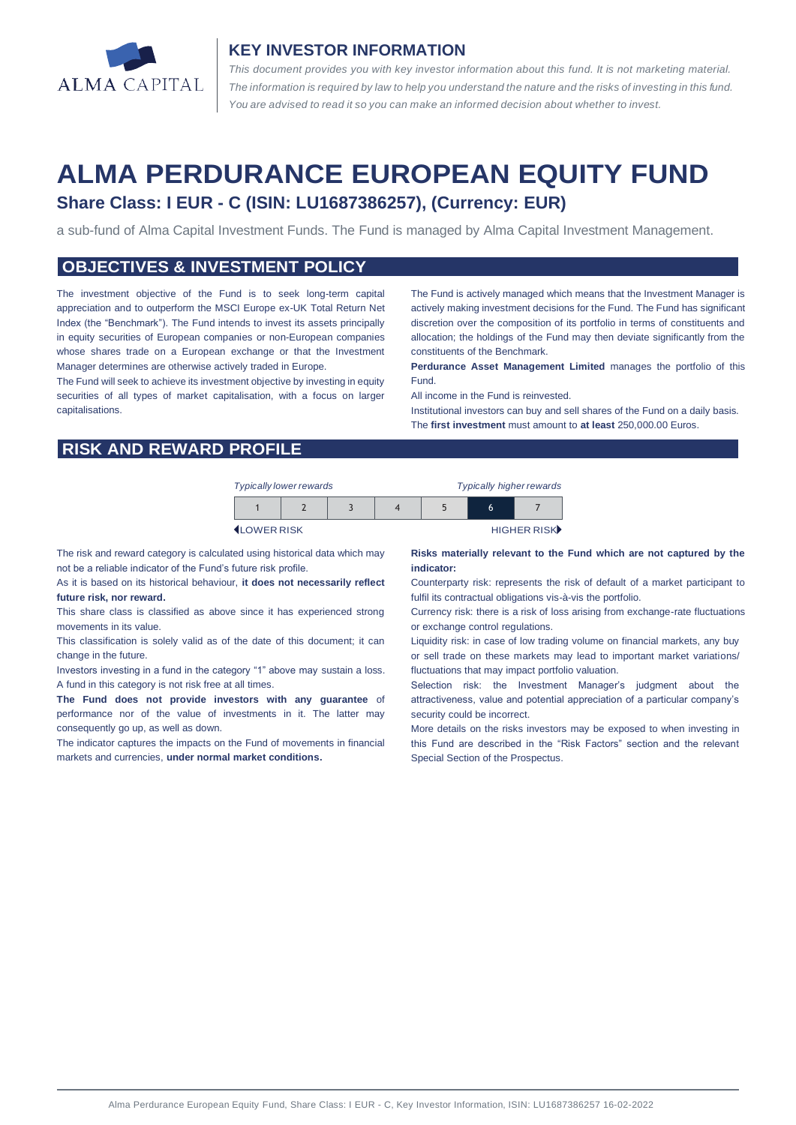

### **KEY INVESTOR INFORMATION**

*This document provides you with key investor information about this fund. It is not marketing material.*  The information is required by law to help you understand the nature and the risks of investing in this fund. *You are advised to read it so you can make an informed decision about whether to invest.*

# **ALMA PERDURANCE EUROPEAN EQUITY FUND Share Class: I EUR - C (ISIN: LU1687386257), (Currency: EUR)**

a sub-fund of Alma Capital Investment Funds. The Fund is managed by Alma Capital Investment Management.

### **OBJECTIVES & INVESTMENT POLICY**

The investment objective of the Fund is to seek long-term capital appreciation and to outperform the MSCI Europe ex-UK Total Return Net Index (the "Benchmark"). The Fund intends to invest its assets principally in equity securities of European companies or non-European companies whose shares trade on a European exchange or that the Investment Manager determines are otherwise actively traded in Europe.

The Fund will seek to achieve its investment objective by investing in equity securities of all types of market capitalisation, with a focus on larger capitalisations.

The Fund is actively managed which means that the Investment Manager is actively making investment decisions for the Fund. The Fund has significant discretion over the composition of its portfolio in terms of constituents and allocation; the holdings of the Fund may then deviate significantly from the constituents of the Benchmark.

**Perdurance Asset Management Limited** manages the portfolio of this Fund.

All income in the Fund is reinvested.

Institutional investors can buy and sell shares of the Fund on a daily basis. The **first investment** must amount to **at least** 250,000.00 Euros.

# **RISK AND REWARD PROFILE**

| <b>Typically lower rewards</b> |  |  |  |  | <b>Typically higher rewards</b> |             |  |
|--------------------------------|--|--|--|--|---------------------------------|-------------|--|
|                                |  |  |  |  | h                               |             |  |
| <b>I</b> I OWER RISK           |  |  |  |  |                                 | HIGHER RISK |  |

The risk and reward category is calculated using historical data which may not be a reliable indicator of the Fund's future risk profile.

As it is based on its historical behaviour, **it does not necessarily reflect future risk, nor reward.** 

This share class is classified as above since it has experienced strong movements in its value.

This classification is solely valid as of the date of this document; it can change in the future.

Investors investing in a fund in the category "1" above may sustain a loss. A fund in this category is not risk free at all times.

**The Fund does not provide investors with any guarantee** of performance nor of the value of investments in it. The latter may consequently go up, as well as down.

The indicator captures the impacts on the Fund of movements in financial markets and currencies, **under normal market conditions.**

#### **Risks materially relevant to the Fund which are not captured by the indicator:**

Counterparty risk: represents the risk of default of a market participant to fulfil its contractual obligations vis-à-vis the portfolio.

Currency risk: there is a risk of loss arising from exchange-rate fluctuations or exchange control regulations.

Liquidity risk: in case of low trading volume on financial markets, any buy or sell trade on these markets may lead to important market variations/ fluctuations that may impact portfolio valuation.

Selection risk: the Investment Manager's judgment about the attractiveness, value and potential appreciation of a particular company's security could be incorrect.

More details on the risks investors may be exposed to when investing in this Fund are described in the "Risk Factors" section and the relevant Special Section of the Prospectus.